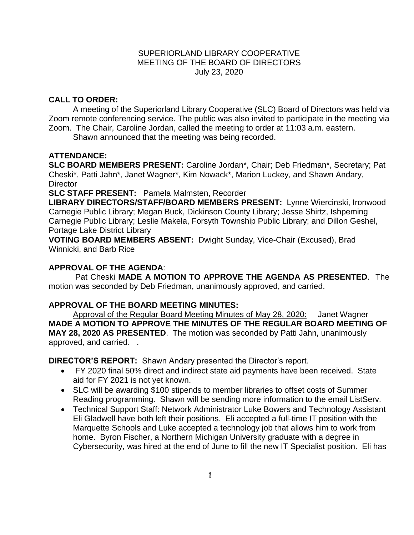### SUPERIORLAND LIBRARY COOPERATIVE MEETING OF THE BOARD OF DIRECTORS July 23, 2020

# **CALL TO ORDER:**

A meeting of the Superiorland Library Cooperative (SLC) Board of Directors was held via Zoom remote conferencing service. The public was also invited to participate in the meeting via Zoom. The Chair, Caroline Jordan, called the meeting to order at 11:03 a.m. eastern.

Shawn announced that the meeting was being recorded.

# **ATTENDANCE:**

**SLC BOARD MEMBERS PRESENT:** Caroline Jordan\*, Chair; Deb Friedman\*, Secretary; Pat Cheski\*, Patti Jahn\*, Janet Wagner\*, Kim Nowack\*, Marion Luckey, and Shawn Andary, **Director** 

**SLC STAFF PRESENT:** Pamela Malmsten, Recorder

**LIBRARY DIRECTORS/STAFF/BOARD MEMBERS PRESENT:** Lynne Wiercinski, Ironwood Carnegie Public Library; Megan Buck, Dickinson County Library; Jesse Shirtz, Ishpeming Carnegie Public Library; Leslie Makela, Forsyth Township Public Library; and Dillon Geshel, Portage Lake District Library

**VOTING BOARD MEMBERS ABSENT:** Dwight Sunday, Vice-Chair (Excused), Brad Winnicki, and Barb Rice

## **APPROVAL OF THE AGENDA**:

Pat Cheski **MADE A MOTION TO APPROVE THE AGENDA AS PRESENTED**. The motion was seconded by Deb Friedman, unanimously approved, and carried.

## **APPROVAL OF THE BOARD MEETING MINUTES:**

Approval of the Regular Board Meeting Minutes of May 28, 2020: Janet Wagner **MADE A MOTION TO APPROVE THE MINUTES OF THE REGULAR BOARD MEETING OF MAY 28, 2020 AS PRESENTED**.The motion was seconded by Patti Jahn, unanimously approved, and carried. .

**DIRECTOR'S REPORT:** Shawn Andary presented the Director's report.

- FY 2020 final 50% direct and indirect state aid payments have been received. State aid for FY 2021 is not yet known.
- SLC will be awarding \$100 stipends to member libraries to offset costs of Summer Reading programming. Shawn will be sending more information to the email ListServ.
- Technical Support Staff: Network Administrator Luke Bowers and Technology Assistant Eli Gladwell have both left their positions. Eli accepted a full-time IT position with the Marquette Schools and Luke accepted a technology job that allows him to work from home. Byron Fischer, a Northern Michigan University graduate with a degree in Cybersecurity, was hired at the end of June to fill the new IT Specialist position. Eli has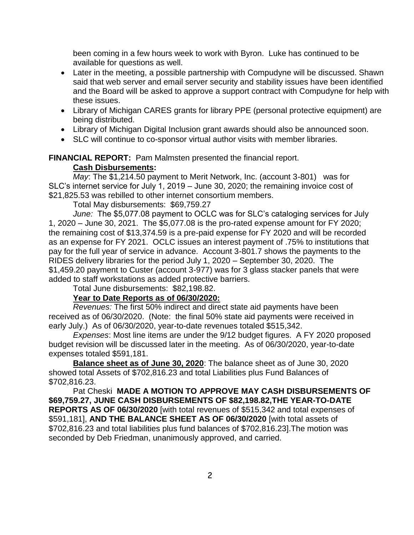been coming in a few hours week to work with Byron. Luke has continued to be available for questions as well.

- Later in the meeting, a possible partnership with Compudyne will be discussed. Shawn said that web server and email server security and stability issues have been identified and the Board will be asked to approve a support contract with Compudyne for help with these issues.
- Library of Michigan CARES grants for library PPE (personal protective equipment) are being distributed.
- Library of Michigan Digital Inclusion grant awards should also be announced soon.
- SLC will continue to co-sponsor virtual author visits with member libraries.

## **FINANCIAL REPORT:** Pam Malmsten presented the financial report.

### **Cash Disbursements:**

*May*: The \$1,214.50 payment to Merit Network, Inc. (account 3-801) was for SLC's internet service for July 1, 2019 – June 30, 2020; the remaining invoice cost of \$21,825.53 was rebilled to other internet consortium members.

Total May disbursements: \$69,759.27

*June:* The \$5,077.08 payment to OCLC was for SLC's cataloging services for July 1, 2020 – June 30, 2021. The \$5,077.08 is the pro-rated expense amount for FY 2020; the remaining cost of \$13,374.59 is a pre-paid expense for FY 2020 and will be recorded as an expense for FY 2021. OCLC issues an interest payment of .75% to institutions that pay for the full year of service in advance. Account 3-801.7 shows the payments to the RIDES delivery libraries for the period July 1, 2020 – September 30, 2020. The \$1,459.20 payment to Custer (account 3-977) was for 3 glass stacker panels that were added to staff workstations as added protective barriers.

Total June disbursements: \$82,198.82.

#### **Year to Date Reports as of 06/30/2020:**

*Revenues:* The first 50% indirect and direct state aid payments have been received as of 06/30/2020. (Note: the final 50% state aid payments were received in early July.) As of 06/30/2020, year-to-date revenues totaled \$515,342.

*Expenses*: Most line items are under the 9/12 budget figures. A FY 2020 proposed budget revision will be discussed later in the meeting. As of 06/30/2020, year-to-date expenses totaled \$591,181.

**Balance sheet as of June 30, 2020**: The balance sheet as of June 30, 2020 showed total Assets of \$702,816.23 and total Liabilities plus Fund Balances of \$702,816.23.

Pat Cheski **MADE A MOTION TO APPROVE MAY CASH DISBURSEMENTS OF \$69,759.27, JUNE CASH DISBURSEMENTS OF \$82,198.82,THE YEAR-TO-DATE REPORTS AS OF 06/30/2020** [with total revenues of \$515,342 and total expenses of \$591,181], **AND THE BALANCE SHEET AS OF 06/30/2020** [with total assets of \$702,816.23 and total liabilities plus fund balances of \$702,816.23].The motion was seconded by Deb Friedman, unanimously approved, and carried.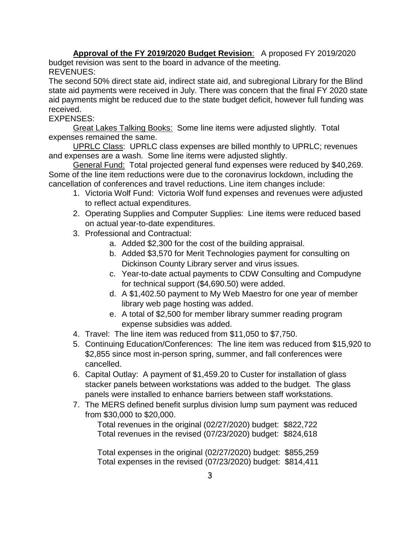**Approval of the FY 2019/2020 Budget Revision**: A proposed FY 2019/2020 budget revision was sent to the board in advance of the meeting. REVENUES:

The second 50% direct state aid, indirect state aid, and subregional Library for the Blind state aid payments were received in July. There was concern that the final FY 2020 state aid payments might be reduced due to the state budget deficit, however full funding was received.

# EXPENSES:

Great Lakes Talking Books: Some line items were adjusted slightly. Total expenses remained the same.

UPRLC Class: UPRLC class expenses are billed monthly to UPRLC; revenues and expenses are a wash. Some line items were adjusted slightly.

General Fund: Total projected general fund expenses were reduced by \$40,269. Some of the line item reductions were due to the coronavirus lockdown, including the cancellation of conferences and travel reductions. Line item changes include:

- 1. Victoria Wolf Fund: Victoria Wolf fund expenses and revenues were adjusted to reflect actual expenditures.
- 2. Operating Supplies and Computer Supplies: Line items were reduced based on actual year-to-date expenditures.
- 3. Professional and Contractual:
	- a. Added \$2,300 for the cost of the building appraisal.
	- b. Added \$3,570 for Merit Technologies payment for consulting on Dickinson County Library server and virus issues.
	- c. Year-to-date actual payments to CDW Consulting and Compudyne for technical support (\$4,690.50) were added.
	- d. A \$1,402.50 payment to My Web Maestro for one year of member library web page hosting was added.
	- e. A total of \$2,500 for member library summer reading program expense subsidies was added.
- 4. Travel: The line item was reduced from \$11,050 to \$7,750.
- 5. Continuing Education/Conferences: The line item was reduced from \$15,920 to \$2,855 since most in-person spring, summer, and fall conferences were cancelled.
- 6. Capital Outlay: A payment of \$1,459.20 to Custer for installation of glass stacker panels between workstations was added to the budget. The glass panels were installed to enhance barriers between staff workstations.
- 7. The MERS defined benefit surplus division lump sum payment was reduced from \$30,000 to \$20,000.

Total revenues in the original (02/27/2020) budget: \$822,722 Total revenues in the revised (07/23/2020) budget: \$824,618

Total expenses in the original (02/27/2020) budget: \$855,259 Total expenses in the revised (07/23/2020) budget: \$814,411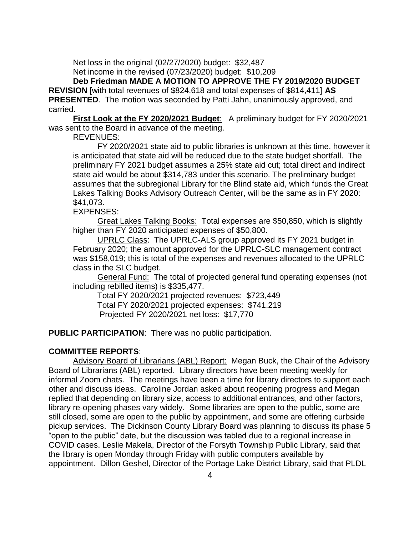Net loss in the original (02/27/2020) budget: \$32,487

Net income in the revised (07/23/2020) budget: \$10,209

**Deb Friedman MADE A MOTION TO APPROVE THE FY 2019/2020 BUDGET REVISION** [with total revenues of \$824,618 and total expenses of \$814,411] **AS PRESENTED**.The motion was seconded by Patti Jahn, unanimously approved, and carried.

**First Look at the FY 2020/2021 Budget**: A preliminary budget for FY 2020/2021 was sent to the Board in advance of the meeting.

REVENUES:

FY 2020/2021 state aid to public libraries is unknown at this time, however it is anticipated that state aid will be reduced due to the state budget shortfall. The preliminary FY 2021 budget assumes a 25% state aid cut; total direct and indirect state aid would be about \$314,783 under this scenario. The preliminary budget assumes that the subregional Library for the Blind state aid, which funds the Great Lakes Talking Books Advisory Outreach Center, will be the same as in FY 2020: \$41,073.

EXPENSES:

Great Lakes Talking Books: Total expenses are \$50,850, which is slightly higher than FY 2020 anticipated expenses of \$50,800.

UPRLC Class: The UPRLC-ALS group approved its FY 2021 budget in February 2020; the amount approved for the UPRLC-SLC management contract was \$158,019; this is total of the expenses and revenues allocated to the UPRLC class in the SLC budget.

General Fund: The total of projected general fund operating expenses (not including rebilled items) is \$335,477.

Total FY 2020/2021 projected revenues: \$723,449 Total FY 2020/2021 projected expenses: \$741.219 Projected FY 2020/2021 net loss: \$17,770

**PUBLIC PARTICIPATION**: There was no public participation.

## **COMMITTEE REPORTS**:

Advisory Board of Librarians (ABL) Report: Megan Buck, the Chair of the Advisory Board of Librarians (ABL) reported. Library directors have been meeting weekly for informal Zoom chats. The meetings have been a time for library directors to support each other and discuss ideas. Caroline Jordan asked about reopening progress and Megan replied that depending on library size, access to additional entrances, and other factors, library re-opening phases vary widely. Some libraries are open to the public, some are still closed, some are open to the public by appointment, and some are offering curbside pickup services. The Dickinson County Library Board was planning to discuss its phase 5 "open to the public" date, but the discussion was tabled due to a regional increase in COVID cases. Leslie Makela, Director of the Forsyth Township Public Library, said that the library is open Monday through Friday with public computers available by appointment. Dillon Geshel, Director of the Portage Lake District Library, said that PLDL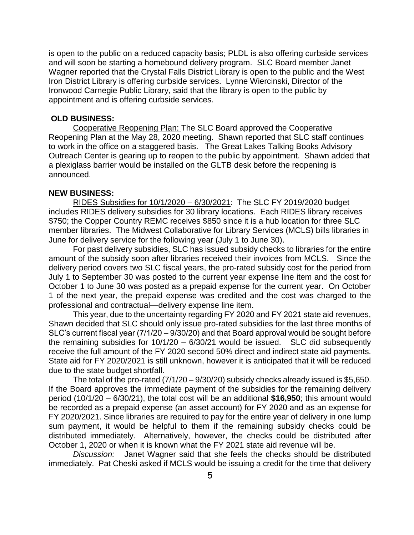is open to the public on a reduced capacity basis; PLDL is also offering curbside services and will soon be starting a homebound delivery program. SLC Board member Janet Wagner reported that the Crystal Falls District Library is open to the public and the West Iron District Library is offering curbside services. Lynne Wiercinski, Director of the Ironwood Carnegie Public Library, said that the library is open to the public by appointment and is offering curbside services.

### **OLD BUSINESS:**

Cooperative Reopening Plan: The SLC Board approved the Cooperative Reopening Plan at the May 28, 2020 meeting. Shawn reported that SLC staff continues to work in the office on a staggered basis. The Great Lakes Talking Books Advisory Outreach Center is gearing up to reopen to the public by appointment. Shawn added that a plexiglass barrier would be installed on the GLTB desk before the reopening is announced.

### **NEW BUSINESS:**

RIDES Subsidies for 10/1/2020 – 6/30/2021: The SLC FY 2019/2020 budget includes RIDES delivery subsidies for 30 library locations. Each RIDES library receives \$750; the Copper Country REMC receives \$850 since it is a hub location for three SLC member libraries. The Midwest Collaborative for Library Services (MCLS) bills libraries in June for delivery service for the following year (July 1 to June 30).

For past delivery subsidies, SLC has issued subsidy checks to libraries for the entire amount of the subsidy soon after libraries received their invoices from MCLS. Since the delivery period covers two SLC fiscal years, the pro-rated subsidy cost for the period from July 1 to September 30 was posted to the current year expense line item and the cost for October 1 to June 30 was posted as a prepaid expense for the current year. On October 1 of the next year, the prepaid expense was credited and the cost was charged to the professional and contractual—delivery expense line item.

This year, due to the uncertainty regarding FY 2020 and FY 2021 state aid revenues, Shawn decided that SLC should only issue pro-rated subsidies for the last three months of SLC's current fiscal year (7/1/20 – 9/30/20) and that Board approval would be sought before the remaining subsidies for 10/1/20 – 6/30/21 would be issued. SLC did subsequently receive the full amount of the FY 2020 second 50% direct and indirect state aid payments. State aid for FY 2020/2021 is still unknown, however it is anticipated that it will be reduced due to the state budget shortfall.

The total of the pro-rated  $(7/1/20 - 9/30/20)$  subsidy checks already issued is \$5,650. If the Board approves the immediate payment of the subsidies for the remaining delivery period (10/1/20 – 6/30/21), the total cost will be an additional **\$16,950**; this amount would be recorded as a prepaid expense (an asset account) for FY 2020 and as an expense for FY 2020/2021. Since libraries are required to pay for the entire year of delivery in one lump sum payment, it would be helpful to them if the remaining subsidy checks could be distributed immediately. Alternatively, however, the checks could be distributed after October 1, 2020 or when it is known what the FY 2021 state aid revenue will be.

*Discussion:* Janet Wagner said that she feels the checks should be distributed immediately. Pat Cheski asked if MCLS would be issuing a credit for the time that delivery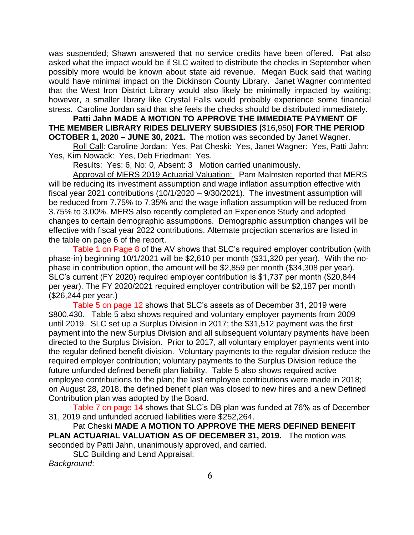was suspended; Shawn answered that no service credits have been offered. Pat also asked what the impact would be if SLC waited to distribute the checks in September when possibly more would be known about state aid revenue. Megan Buck said that waiting would have minimal impact on the Dickinson County Library. Janet Wagner commented that the West Iron District Library would also likely be minimally impacted by waiting; however, a smaller library like Crystal Falls would probably experience some financial stress. Caroline Jordan said that she feels the checks should be distributed immediately.

**Patti Jahn MADE A MOTION TO APPROVE THE IMMEDIATE PAYMENT OF THE MEMBER LIBRARY RIDES DELIVERY SUBSIDIES** [\$16,950] **FOR THE PERIOD OCTOBER 1, 2020 – JUNE 30, 2021.** The motion was seconded by Janet Wagner.

Roll Call: Caroline Jordan: Yes, Pat Cheski: Yes, Janet Wagner: Yes, Patti Jahn: Yes, Kim Nowack: Yes, Deb Friedman: Yes.

Results: Yes: 6, No: 0, Absent: 3 Motion carried unanimously.

Approval of MERS 2019 Actuarial Valuation: Pam Malmsten reported that MERS will be reducing its investment assumption and wage inflation assumption effective with fiscal year 2021 contributions (10/1/2020 – 9/30/2021). The investment assumption will be reduced from 7.75% to 7.35% and the wage inflation assumption will be reduced from 3.75% to 3.00%. MERS also recently completed an Experience Study and adopted changes to certain demographic assumptions. Demographic assumption changes will be effective with fiscal year 2022 contributions. Alternate projection scenarios are listed in the table on page 6 of the report.

Table 1 on Page 8 of the AV shows that SLC's required employer contribution (with phase-in) beginning 10/1/2021 will be \$2,610 per month (\$31,320 per year). With the nophase in contribution option, the amount will be \$2,859 per month (\$34,308 per year). SLC's current (FY 2020) required employer contribution is \$1,737 per month (\$20,844 per year). The FY 2020/2021 required employer contribution will be \$2,187 per month (\$26,244 per year.)

Table 5 on page 12 shows that SLC's assets as of December 31, 2019 were \$800,430. Table 5 also shows required and voluntary employer payments from 2009 until 2019. SLC set up a Surplus Division in 2017; the \$31,512 payment was the first payment into the new Surplus Division and all subsequent voluntary payments have been directed to the Surplus Division. Prior to 2017, all voluntary employer payments went into the regular defined benefit division. Voluntary payments to the regular division reduce the required employer contribution; voluntary payments to the Surplus Division reduce the future unfunded defined benefit plan liability. Table 5 also shows required active employee contributions to the plan; the last employee contributions were made in 2018; on August 28, 2018, the defined benefit plan was closed to new hires and a new Defined Contribution plan was adopted by the Board.

Table 7 on page 14 shows that SLC's DB plan was funded at 76% as of December 31, 2019 and unfunded accrued liabilities were \$252,264.

Pat Cheski **MADE A MOTION TO APPROVE THE MERS DEFINED BENEFIT PLAN ACTUARIAL VALUATION AS OF DECEMBER 31, 2019.** The motion was seconded by Patti Jahn, unanimously approved, and carried.

SLC Building and Land Appraisal:

*Background*: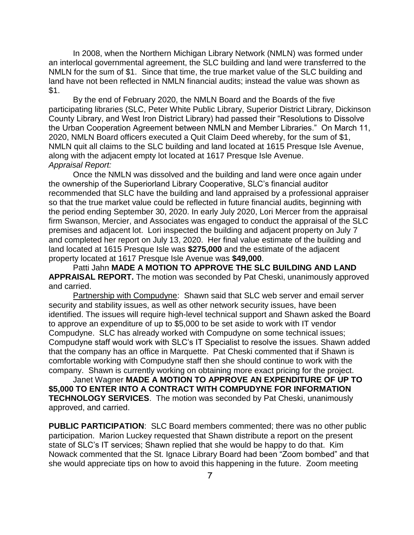In 2008, when the Northern Michigan Library Network (NMLN) was formed under an interlocal governmental agreement, the SLC building and land were transferred to the NMLN for the sum of \$1. Since that time, the true market value of the SLC building and land have not been reflected in NMLN financial audits; instead the value was shown as \$1.

By the end of February 2020, the NMLN Board and the Boards of the five participating libraries (SLC, Peter White Public Library, Superior District Library, Dickinson County Library, and West Iron District Library) had passed their "Resolutions to Dissolve the Urban Cooperation Agreement between NMLN and Member Libraries." On March 11, 2020, NMLN Board officers executed a Quit Claim Deed whereby, for the sum of \$1, NMLN quit all claims to the SLC building and land located at 1615 Presque Isle Avenue, along with the adjacent empty lot located at 1617 Presque Isle Avenue. *Appraisal Report:* 

Once the NMLN was dissolved and the building and land were once again under the ownership of the Superiorland Library Cooperative, SLC's financial auditor recommended that SLC have the building and land appraised by a professional appraiser so that the true market value could be reflected in future financial audits, beginning with the period ending September 30, 2020. In early July 2020, Lori Mercer from the appraisal firm Swanson, Mercier, and Associates was engaged to conduct the appraisal of the SLC premises and adjacent lot. Lori inspected the building and adjacent property on July 7 and completed her report on July 13, 2020. Her final value estimate of the building and land located at 1615 Presque Isle was **\$275,000** and the estimate of the adjacent property located at 1617 Presque Isle Avenue was **\$49,000**.

Patti Jahn **MADE A MOTION TO APPROVE THE SLC BUILDING AND LAND APPRAISAL REPORT.** The motion was seconded by Pat Cheski, unanimously approved and carried.

Partnership with Compudyne: Shawn said that SLC web server and email server security and stability issues, as well as other network security issues, have been identified. The issues will require high-level technical support and Shawn asked the Board to approve an expenditure of up to \$5,000 to be set aside to work with IT vendor Compudyne. SLC has already worked with Compudyne on some technical issues; Compudyne staff would work with SLC's IT Specialist to resolve the issues. Shawn added that the company has an office in Marquette. Pat Cheski commented that if Shawn is comfortable working with Compudyne staff then she should continue to work with the company. Shawn is currently working on obtaining more exact pricing for the project.

Janet Wagner **MADE A MOTION TO APPROVE AN EXPENDITURE OF UP TO \$5,000 TO ENTER INTO A CONTRACT WITH COMPUDYNE FOR INFORMATION TECHNOLOGY SERVICES**. The motion was seconded by Pat Cheski, unanimously approved, and carried.

**PUBLIC PARTICIPATION**: SLC Board members commented; there was no other public participation. Marion Luckey requested that Shawn distribute a report on the present state of SLC's IT services; Shawn replied that she would be happy to do that. Kim Nowack commented that the St. Ignace Library Board had been "Zoom bombed" and that she would appreciate tips on how to avoid this happening in the future. Zoom meeting